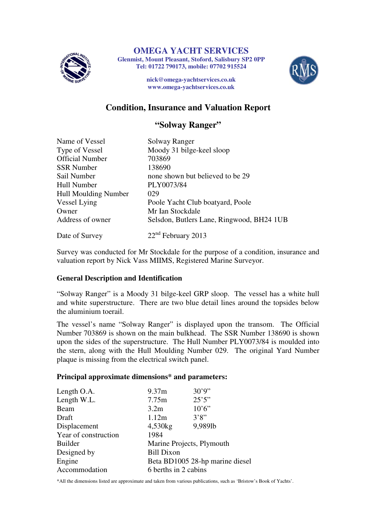

**Glenmist, Mount Pleasant, Stoford, Salisbury SP2 0PP** 

**Tel: 01722 790173, mobile: 07702 915524** 



**nick@omega-yachtservices.co.uk www.omega-yachtservices.co.uk**

# **Condition, Insurance and Valuation Report**

# **"Solway Ranger"**

| Name of Vessel              | Solway Ranger                             |
|-----------------------------|-------------------------------------------|
| Type of Vessel              | Moody 31 bilge-keel sloop                 |
| <b>Official Number</b>      | 703869                                    |
| <b>SSR</b> Number           | 138690                                    |
| Sail Number                 | none shown but believed to be 29          |
| Hull Number                 | PLY0073/84                                |
| <b>Hull Moulding Number</b> | 029                                       |
| Vessel Lying                | Poole Yacht Club boatyard, Poole          |
| Owner                       | Mr Ian Stockdale                          |
| Address of owner            | Selsdon, Butlers Lane, Ringwood, BH24 1UB |
| Date of Survey              | $22nd$ February 2013                      |

Survey was conducted for Mr Stockdale for the purpose of a condition, insurance and valuation report by Nick Vass MIIMS, Registered Marine Surveyor.

### **General Description and Identification**

"Solway Ranger" is a Moody 31 bilge-keel GRP sloop. The vessel has a white hull and white superstructure. There are two blue detail lines around the topsides below the aluminium toerail.

The vessel's name "Solway Ranger" is displayed upon the transom. The Official Number 703869 is shown on the main bulkhead. The SSR Number 138690 is shown upon the sides of the superstructure. The Hull Number PLY0073/84 is moulded into the stern, along with the Hull Moulding Number 029. The original Yard Number plaque is missing from the electrical switch panel.

### **Principal approximate dimensions\* and parameters:**

| Length O.A.          | 9.37m                           | 30'9''  |  |
|----------------------|---------------------------------|---------|--|
| Length W.L.          | 7.75m                           | 25'5''  |  |
| Beam                 | 3.2 <sub>m</sub>                | 10'6''  |  |
| Draft                | 1.12m                           | 3'8''   |  |
| Displacement         | 4,530kg                         | 9,989lb |  |
| Year of construction | 1984                            |         |  |
| <b>Builder</b>       | Marine Projects, Plymouth       |         |  |
| Designed by          | <b>Bill Dixon</b>               |         |  |
| Engine               | Beta BD1005 28-hp marine diesel |         |  |
| Accommodation        | 6 berths in 2 cabins            |         |  |

\*All the dimensions listed are approximate and taken from various publications, such as 'Bristow's Book of Yachts'.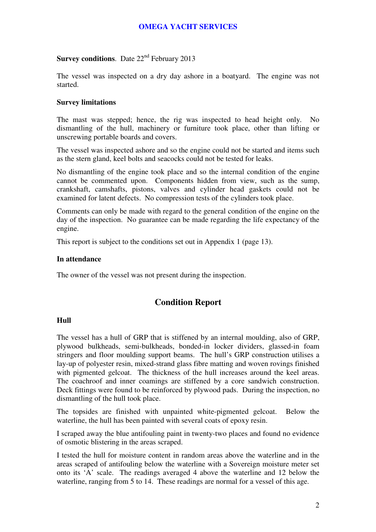### **Survey conditions**. Date 22<sup>nd</sup> February 2013

The vessel was inspected on a dry day ashore in a boatyard. The engine was not started.

### **Survey limitations**

The mast was stepped; hence, the rig was inspected to head height only. No dismantling of the hull, machinery or furniture took place, other than lifting or unscrewing portable boards and covers.

The vessel was inspected ashore and so the engine could not be started and items such as the stern gland, keel bolts and seacocks could not be tested for leaks.

No dismantling of the engine took place and so the internal condition of the engine cannot be commented upon. Components hidden from view, such as the sump, crankshaft, camshafts, pistons, valves and cylinder head gaskets could not be examined for latent defects. No compression tests of the cylinders took place.

Comments can only be made with regard to the general condition of the engine on the day of the inspection. No guarantee can be made regarding the life expectancy of the engine.

This report is subject to the conditions set out in Appendix 1 (page 13).

#### **In attendance**

The owner of the vessel was not present during the inspection.

# **Condition Report**

### **Hull**

The vessel has a hull of GRP that is stiffened by an internal moulding, also of GRP, plywood bulkheads, semi-bulkheads, bonded-in locker dividers, glassed-in foam stringers and floor moulding support beams. The hull's GRP construction utilises a lay-up of polyester resin, mixed-strand glass fibre matting and woven rovings finished with pigmented gelcoat. The thickness of the hull increases around the keel areas. The coachroof and inner coamings are stiffened by a core sandwich construction. Deck fittings were found to be reinforced by plywood pads. During the inspection, no dismantling of the hull took place.

The topsides are finished with unpainted white-pigmented gelcoat. Below the waterline, the hull has been painted with several coats of epoxy resin.

I scraped away the blue antifouling paint in twenty-two places and found no evidence of osmotic blistering in the areas scraped.

I tested the hull for moisture content in random areas above the waterline and in the areas scraped of antifouling below the waterline with a Sovereign moisture meter set onto its 'A' scale. The readings averaged 4 above the waterline and 12 below the waterline, ranging from 5 to 14. These readings are normal for a vessel of this age.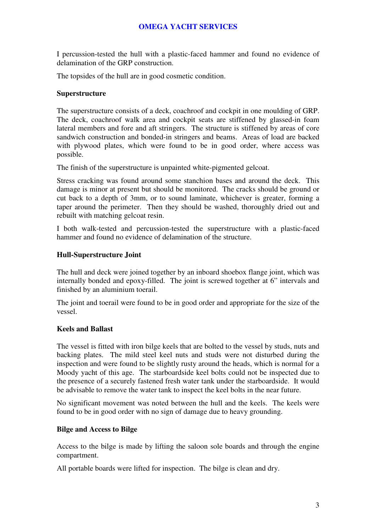I percussion-tested the hull with a plastic-faced hammer and found no evidence of delamination of the GRP construction.

The topsides of the hull are in good cosmetic condition.

#### **Superstructure**

The superstructure consists of a deck, coachroof and cockpit in one moulding of GRP. The deck, coachroof walk area and cockpit seats are stiffened by glassed-in foam lateral members and fore and aft stringers. The structure is stiffened by areas of core sandwich construction and bonded-in stringers and beams. Areas of load are backed with plywood plates, which were found to be in good order, where access was possible.

The finish of the superstructure is unpainted white-pigmented gelcoat.

Stress cracking was found around some stanchion bases and around the deck. This damage is minor at present but should be monitored. The cracks should be ground or cut back to a depth of 3mm, or to sound laminate, whichever is greater, forming a taper around the perimeter. Then they should be washed, thoroughly dried out and rebuilt with matching gelcoat resin.

I both walk-tested and percussion-tested the superstructure with a plastic-faced hammer and found no evidence of delamination of the structure.

#### **Hull-Superstructure Joint**

The hull and deck were joined together by an inboard shoebox flange joint, which was internally bonded and epoxy-filled. The joint is screwed together at 6" intervals and finished by an aluminium toerail.

The joint and toerail were found to be in good order and appropriate for the size of the vessel.

### **Keels and Ballast**

The vessel is fitted with iron bilge keels that are bolted to the vessel by studs, nuts and backing plates. The mild steel keel nuts and studs were not disturbed during the inspection and were found to be slightly rusty around the heads, which is normal for a Moody yacht of this age. The starboardside keel bolts could not be inspected due to the presence of a securely fastened fresh water tank under the starboardside. It would be advisable to remove the water tank to inspect the keel bolts in the near future.

No significant movement was noted between the hull and the keels. The keels were found to be in good order with no sign of damage due to heavy grounding.

#### **Bilge and Access to Bilge**

Access to the bilge is made by lifting the saloon sole boards and through the engine compartment.

All portable boards were lifted for inspection. The bilge is clean and dry.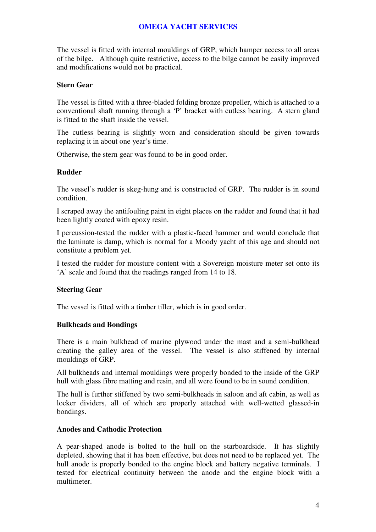The vessel is fitted with internal mouldings of GRP, which hamper access to all areas of the bilge. Although quite restrictive, access to the bilge cannot be easily improved and modifications would not be practical.

### **Stern Gear**

The vessel is fitted with a three-bladed folding bronze propeller, which is attached to a conventional shaft running through a 'P' bracket with cutless bearing. A stern gland is fitted to the shaft inside the vessel.

The cutless bearing is slightly worn and consideration should be given towards replacing it in about one year's time.

Otherwise, the stern gear was found to be in good order.

### **Rudder**

The vessel's rudder is skeg-hung and is constructed of GRP. The rudder is in sound condition.

I scraped away the antifouling paint in eight places on the rudder and found that it had been lightly coated with epoxy resin.

I percussion-tested the rudder with a plastic-faced hammer and would conclude that the laminate is damp, which is normal for a Moody yacht of this age and should not constitute a problem yet.

I tested the rudder for moisture content with a Sovereign moisture meter set onto its 'A' scale and found that the readings ranged from 14 to 18.

### **Steering Gear**

The vessel is fitted with a timber tiller, which is in good order.

### **Bulkheads and Bondings**

There is a main bulkhead of marine plywood under the mast and a semi-bulkhead creating the galley area of the vessel. The vessel is also stiffened by internal mouldings of GRP.

All bulkheads and internal mouldings were properly bonded to the inside of the GRP hull with glass fibre matting and resin, and all were found to be in sound condition.

The hull is further stiffened by two semi-bulkheads in saloon and aft cabin, as well as locker dividers, all of which are properly attached with well-wetted glassed-in bondings.

### **Anodes and Cathodic Protection**

A pear-shaped anode is bolted to the hull on the starboardside. It has slightly depleted, showing that it has been effective, but does not need to be replaced yet. The hull anode is properly bonded to the engine block and battery negative terminals. I tested for electrical continuity between the anode and the engine block with a multimeter.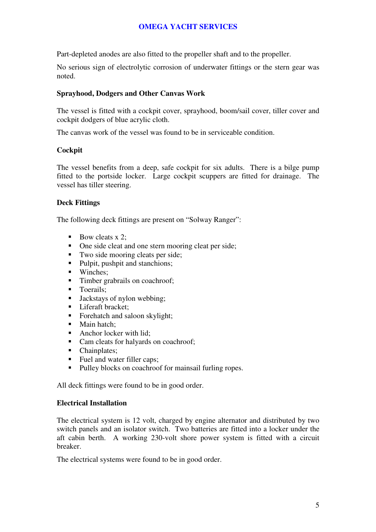Part-depleted anodes are also fitted to the propeller shaft and to the propeller.

No serious sign of electrolytic corrosion of underwater fittings or the stern gear was noted.

### **Sprayhood, Dodgers and Other Canvas Work**

The vessel is fitted with a cockpit cover, sprayhood, boom/sail cover, tiller cover and cockpit dodgers of blue acrylic cloth.

The canvas work of the vessel was found to be in serviceable condition.

### **Cockpit**

The vessel benefits from a deep, safe cockpit for six adults. There is a bilge pump fitted to the portside locker. Large cockpit scuppers are fitted for drainage. The vessel has tiller steering.

### **Deck Fittings**

The following deck fittings are present on "Solway Ranger":

- Bow cleats  $x$  2;
- One side cleat and one stern mooring cleat per side;
- Two side mooring cleats per side;
- Pulpit, pushpit and stanchions;
- Winches;
- Timber grabrails on coachroof;
- **Toerails**;
- Jackstays of nylon webbing;
- **Liferaft bracket:**
- Forehatch and saloon skylight;<br>Main hatch:
- Main hatch;
- Anchor locker with lid;
- Cam cleats for halyards on coachroof;
- Chainplates;
- Fuel and water filler caps;
- Pulley blocks on coachroof for mainsail furling ropes.

All deck fittings were found to be in good order.

### **Electrical Installation**

The electrical system is 12 volt, charged by engine alternator and distributed by two switch panels and an isolator switch. Two batteries are fitted into a locker under the aft cabin berth. A working 230-volt shore power system is fitted with a circuit breaker.

The electrical systems were found to be in good order.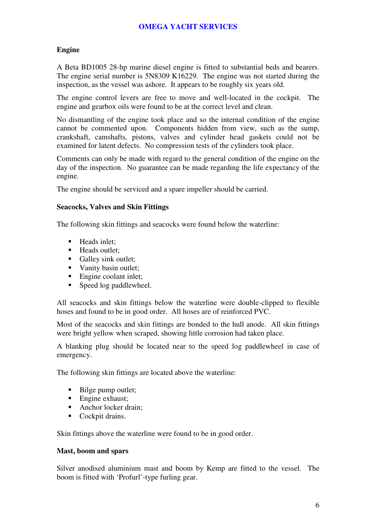### **Engine**

A Beta BD1005 28-hp marine diesel engine is fitted to substantial beds and bearers. The engine serial number is 5N8309 K16229. The engine was not started during the inspection, as the vessel was ashore. It appears to be roughly six years old.

The engine control levers are free to move and well-located in the cockpit. The engine and gearbox oils were found to be at the correct level and clean.

No dismantling of the engine took place and so the internal condition of the engine cannot be commented upon. Components hidden from view, such as the sump, crankshaft, camshafts, pistons, valves and cylinder head gaskets could not be examined for latent defects. No compression tests of the cylinders took place.

Comments can only be made with regard to the general condition of the engine on the day of the inspection. No guarantee can be made regarding the life expectancy of the engine.

The engine should be serviced and a spare impeller should be carried.

#### **Seacocks, Valves and Skin Fittings**

The following skin fittings and seacocks were found below the waterline:

- $H$ eads inlet:
- Heads outlet:
- Galley sink outlet;
- Vanity basin outlet:
- Engine coolant inlet;
- Speed log paddlewheel.

All seacocks and skin fittings below the waterline were double-clipped to flexible hoses and found to be in good order. All hoses are of reinforced PVC.

Most of the seacocks and skin fittings are bonded to the hull anode. All skin fittings were bright yellow when scraped, showing little corrosion had taken place.

A blanking plug should be located near to the speed log paddlewheel in case of emergency.

The following skin fittings are located above the waterline:

- Bilge pump outlet;
- Engine exhaust;
- Anchor locker drain:
- Cockpit drains.

Skin fittings above the waterline were found to be in good order.

#### **Mast, boom and spars**

Silver anodised aluminium mast and boom by Kemp are fitted to the vessel. The boom is fitted with 'Profurl'-type furling gear.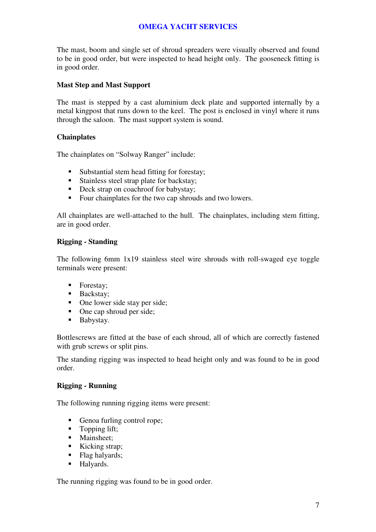The mast, boom and single set of shroud spreaders were visually observed and found to be in good order, but were inspected to head height only. The gooseneck fitting is in good order.

### **Mast Step and Mast Support**

The mast is stepped by a cast aluminium deck plate and supported internally by a metal kingpost that runs down to the keel. The post is enclosed in vinyl where it runs through the saloon. The mast support system is sound.

### **Chainplates**

The chainplates on "Solway Ranger" include:

- Substantial stem head fitting for forestay;
- Stainless steel strap plate for backstay;
- Deck strap on coachroof for babystay;
- Four chainplates for the two cap shrouds and two lowers.

All chainplates are well-attached to the hull. The chainplates, including stem fitting, are in good order.

### **Rigging - Standing**

The following 6mm 1x19 stainless steel wire shrouds with roll-swaged eye toggle terminals were present:

- Forestay;
- **Backstay**;
- One lower side stay per side;
- One cap shroud per side;
- **Babystay.**

Bottlescrews are fitted at the base of each shroud, all of which are correctly fastened with grub screws or split pins.

The standing rigging was inspected to head height only and was found to be in good order.

### **Rigging - Running**

The following running rigging items were present:

- Genoa furling control rope;
- Topping lift;
- Mainsheet:
- Kicking strap:
- Flag halyards;
- **Halyards.**

The running rigging was found to be in good order.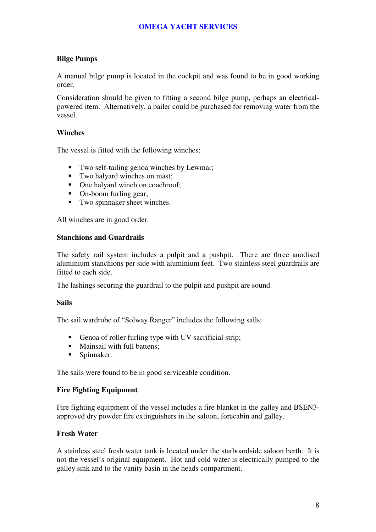### **Bilge Pumps**

A manual bilge pump is located in the cockpit and was found to be in good working order.

Consideration should be given to fitting a second bilge pump, perhaps an electricalpowered item. Alternatively, a bailer could be purchased for removing water from the vessel.

### **Winches**

The vessel is fitted with the following winches:

- Two self-tailing genoa winches by Lewmar;
- Two halyard winches on mast;
- One halyard winch on coachroof;
- On-boom furling gear;
- Two spinnaker sheet winches.

All winches are in good order.

### **Stanchions and Guardrails**

The safety rail system includes a pulpit and a pushpit. There are three anodised aluminium stanchions per side with aluminium feet. Two stainless steel guardrails are fitted to each side.

The lashings securing the guardrail to the pulpit and pushpit are sound.

### **Sails**

The sail wardrobe of "Solway Ranger" includes the following sails:

- Genoa of roller furling type with UV sacrificial strip;
- Mainsail with full battens;
- Spinnaker.

The sails were found to be in good serviceable condition.

### **Fire Fighting Equipment**

Fire fighting equipment of the vessel includes a fire blanket in the galley and BSEN3 approved dry powder fire extinguishers in the saloon, forecabin and galley.

### **Fresh Water**

A stainless steel fresh water tank is located under the starboardside saloon berth. It is not the vessel's original equipment. Hot and cold water is electrically pumped to the galley sink and to the vanity basin in the heads compartment.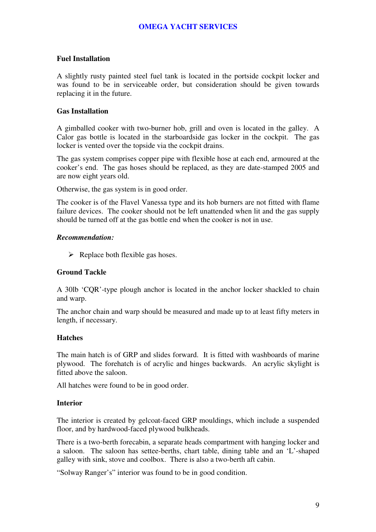### **Fuel Installation**

A slightly rusty painted steel fuel tank is located in the portside cockpit locker and was found to be in serviceable order, but consideration should be given towards replacing it in the future.

### **Gas Installation**

A gimballed cooker with two-burner hob, grill and oven is located in the galley. A Calor gas bottle is located in the starboardside gas locker in the cockpit. The gas locker is vented over the topside via the cockpit drains.

The gas system comprises copper pipe with flexible hose at each end, armoured at the cooker's end. The gas hoses should be replaced, as they are date-stamped 2005 and are now eight years old.

Otherwise, the gas system is in good order.

The cooker is of the Flavel Vanessa type and its hob burners are not fitted with flame failure devices. The cooker should not be left unattended when lit and the gas supply should be turned off at the gas bottle end when the cooker is not in use.

### *Recommendation:*

▶ Replace both flexible gas hoses.

### **Ground Tackle**

A 30lb 'CQR'-type plough anchor is located in the anchor locker shackled to chain and warp.

The anchor chain and warp should be measured and made up to at least fifty meters in length, if necessary.

### **Hatches**

The main hatch is of GRP and slides forward. It is fitted with washboards of marine plywood. The forehatch is of acrylic and hinges backwards. An acrylic skylight is fitted above the saloon.

All hatches were found to be in good order.

### **Interior**

The interior is created by gelcoat-faced GRP mouldings, which include a suspended floor, and by hardwood-faced plywood bulkheads.

There is a two-berth forecabin, a separate heads compartment with hanging locker and a saloon. The saloon has settee-berths, chart table, dining table and an 'L'-shaped galley with sink, stove and coolbox. There is also a two-berth aft cabin.

"Solway Ranger's" interior was found to be in good condition.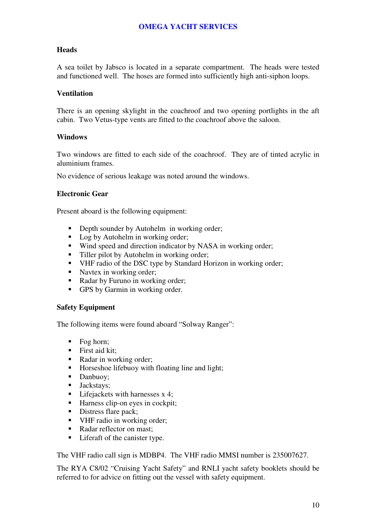### **Heads**

A sea toilet by Jabsco is located in a separate compartment. The heads were tested and functioned well. The hoses are formed into sufficiently high anti-siphon loops.

### **Ventilation**

There is an opening skylight in the coachroof and two opening portlights in the aft cabin. Two Vetus-type vents are fitted to the coachroof above the saloon.

### **Windows**

Two windows are fitted to each side of the coachroof. They are of tinted acrylic in aluminium frames.

No evidence of serious leakage was noted around the windows.

### **Electronic Gear**

Present aboard is the following equipment:

- Depth sounder by Autohelm in working order;
- Log by Autohelm in working order;
- Wind speed and direction indicator by NASA in working order;
- Tiller pilot by Autohelm in working order;
- VHF radio of the DSC type by Standard Horizon in working order;
- Navtex in working order;
- Radar by Furuno in working order;
- GPS by Garmin in working order.

### **Safety Equipment**

The following items were found aboard "Solway Ranger":

- $\blacksquare$  Fog horn;
- **First aid kit:**
- Radar in working order;
- Horseshoe lifebuoy with floating line and light;
- Danbuoy;
- **Jackstays**;
- $\blacksquare$  Lifejackets with harnesses x 4;
- Harness clip-on eyes in cockpit;
- Distress flare pack;
- VHF radio in working order:
- Radar reflector on mast:
- Liferaft of the canister type.

The VHF radio call sign is MDBP4. The VHF radio MMSI number is 235007627.

The RYA C8/02 "Cruising Yacht Safety" and RNLI yacht safety booklets should be referred to for advice on fitting out the vessel with safety equipment.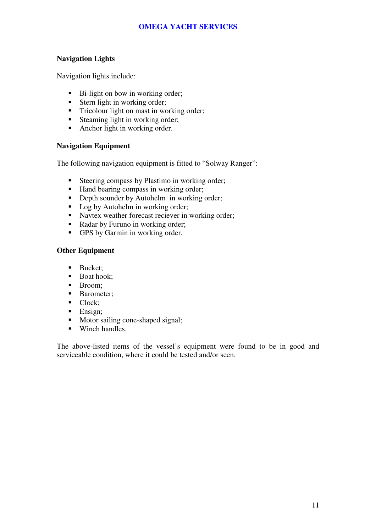### **Navigation Lights**

Navigation lights include:

- Bi-light on bow in working order;
- Stern light in working order;
- Tricolour light on mast in working order;
- Steaming light in working order;
- Anchor light in working order.

### **Navigation Equipment**

The following navigation equipment is fitted to "Solway Ranger":

- Steering compass by Plastimo in working order;
- Hand bearing compass in working order;
- Depth sounder by Autohelm in working order:
- Log by Autohelm in working order;
- Navtex weather forecast reciever in working order;
- Radar by Furuno in working order;
- GPS by Garmin in working order.

### **Other Equipment**

- **Bucket:**
- $\blacksquare$  Boat hook:
- Broom:
- **Barometer;**
- Clock:
- $\blacksquare$  Ensign;
- Motor sailing cone-shaped signal;
- **Winch handles.**

The above-listed items of the vessel's equipment were found to be in good and serviceable condition, where it could be tested and/or seen.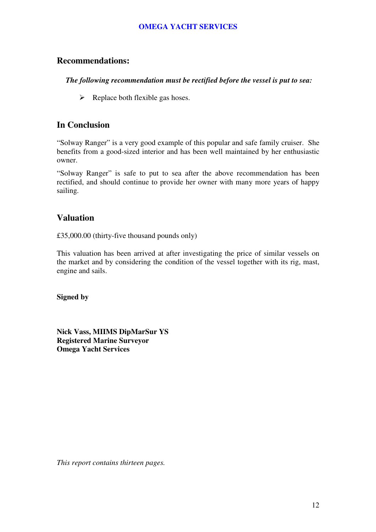# **Recommendations:**

### *The following recommendation must be rectified before the vessel is put to sea:*

> Replace both flexible gas hoses.

# **In Conclusion**

"Solway Ranger" is a very good example of this popular and safe family cruiser. She benefits from a good-sized interior and has been well maintained by her enthusiastic owner.

"Solway Ranger" is safe to put to sea after the above recommendation has been rectified, and should continue to provide her owner with many more years of happy sailing.

# **Valuation**

£35,000.00 (thirty-five thousand pounds only)

This valuation has been arrived at after investigating the price of similar vessels on the market and by considering the condition of the vessel together with its rig, mast, engine and sails.

**Signed by** 

**Nick Vass, MIIMS DipMarSur YS Registered Marine Surveyor Omega Yacht Services** 

*This report contains thirteen pages.*